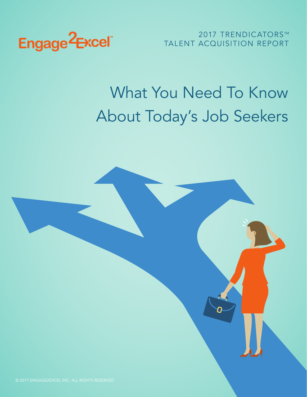

2017 TRENDICATORS™ TALENT ACQUISITION REPORT

# What You Need To Know About Today's Job Seekers

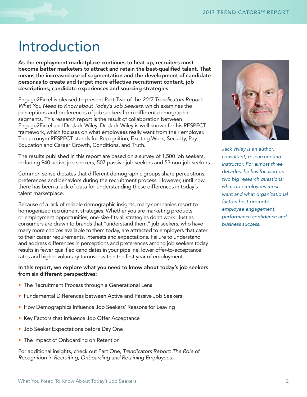### Introduction

As the employment marketplace continues to heat up, recruiters must become better marketers to attract and retain the best-qualified talent. That means the increased use of segmentation and the development of candidate personas to create and target more effective recruitment content, job descriptions, candidate experiences and sourcing strategies.

Engage2Excel is pleased to present Part Two of the *2017 Trendicators Report: What You Need to Know about Today's Job Seekers*, which examines the perceptions and preferences of job seekers from different demographic segments. This research report is the result of collaboration between Engage2Excel and Dr. Jack Wiley. Dr. Jack Wiley is well known for his RESPECT framework, which focuses on what employees really want from their employer. The acronym RESPECT stands for Recognition, Exciting Work, Security, Pay, Education and Career Growth, Conditions, and Truth.

The results published in this report are based on a survey of 1,500 job seekers, including 940 active job seekers, 507 passive job seekers and 53 non-job seekers.

Common sense dictates that different demographic groups share perceptions, preferences and behaviors during the recruitment process. However, until now, there has been a lack of data for understanding these differences in today's talent marketplace.

Because of a lack of reliable demographic insights, many companies resort to homogenized recruitment strategies. Whether you are marketing products or employment opportunities, one-size-fits-all strategies don't work. Just as consumers are drawn to brands that "understand them," job seekers, who have many more choices available to them today, are attracted to employers that cater to their career requirements, interests and expectations. Failure to understand and address differences in perceptions and preferences among job seekers today results in fewer qualified candidates in your pipeline, lower offer-to-acceptance rates and higher voluntary turnover within the first year of employment.

### In this report, we explore what you need to know about today's job seekers from six different perspectives:

- The Recruitment Process through a Generational Lens
- Fundamental Differences between Active and Passive Job Seekers
- How Demographics Influence Job Seekers' Reasons for Leaving
- Key Factors that Influence Job Offer Acceptance
- Job Seeker Expectations before Day One
- The Impact of Onboarding on Retention

For additional insights, check out Part One, *Trendicators Report: The Role of Recognition in Recruiting, Onboarding and Retaining Employees.*



*Jack Wiley is an author, consultant, researcher and instructor. For almost three decades, he has focused on two big research questions: what do employees most want and what organizational factors best promote employee engagement, performance confidence and business success.*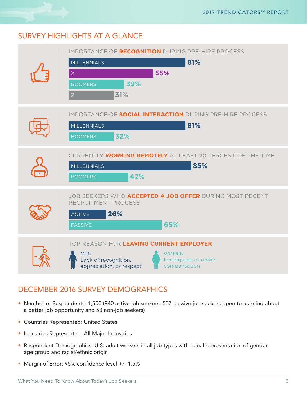### SURVEY HIGHLIGHTS AT A GLANCE

| <b>IMPORTANCE OF RECOGNITION DURING PRE-HIRE PROCESS</b><br>81%<br><b>MILLENNIALS</b><br>55%<br>$\overline{X}$<br>39%<br><b>BOOMERS</b><br>31%<br>Z               |
|-------------------------------------------------------------------------------------------------------------------------------------------------------------------|
| <b>IMPORTANCE OF SOCIAL INTERACTION DURING PRE-HIRE PROCESS</b><br>81%<br><b>MILLENNIALS</b><br>32%<br><b>BOOMERS</b>                                             |
| CURRENTLY WORKING REMOTELY AT LEAST 20 PERCENT OF THE TIME<br>85%<br><b>MILLENNIALS</b><br>42%<br><b>BOOMERS</b>                                                  |
| JOB SEEKERS WHO ACCEPTED A JOB OFFER DURING MOST RECENT<br>RECRUITMENT PROCESS<br>26%<br><b>ACTIVE</b><br>65%<br>PASSIVE                                          |
| TOP REASON FOR LEAVING CURRENT EMPLOYER<br><b>MEN</b><br><b>WOMEN</b><br>Lack of recognition,<br>Inadequate or unfair<br>appreciation, or respect<br>compensation |

### DECEMBER 2016 SURVEY DEMOGRAPHICS

- Number of Respondents: 1,500 (940 active job seekers, 507 passive job seekers open to learning about a better job opportunity and 53 non-job seekers)
- Countries Represented: United States
- Industries Represented: All Major Industries
- Respondent Demographics: U.S. adult workers in all job types with equal representation of gender, age group and racial/ethnic origin
- Margin of Error: 95% confidence level +/- 1.5%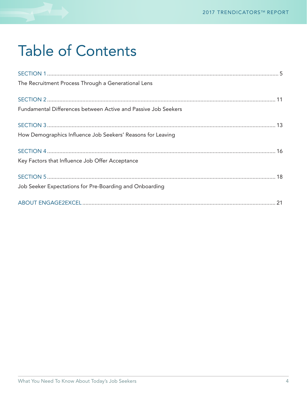# Table of Contents

| The Recruitment Process Through a Generational Lens            |
|----------------------------------------------------------------|
|                                                                |
| Fundamental Differences between Active and Passive Job Seekers |
|                                                                |
| How Demographics Influence Job Seekers' Reasons for Leaving    |
|                                                                |
| Key Factors that Influence Job Offer Acceptance                |
|                                                                |
| Job Seeker Expectations for Pre-Boarding and Onboarding        |
|                                                                |
|                                                                |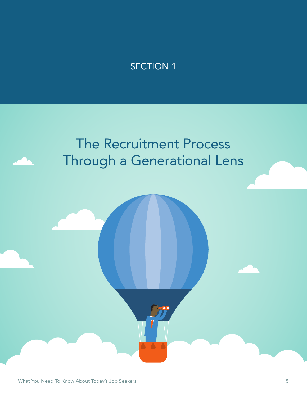# The Recruitment Process Through a Generational Lens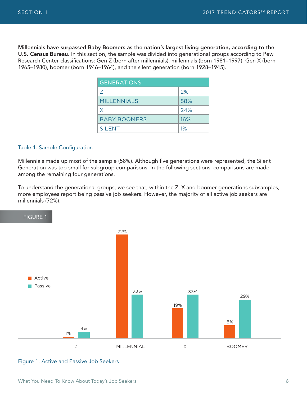Millennials have surpassed Baby Boomers as the nation's largest living generation, according to the U.S. Census Bureau. In this section, the sample was divided into generational groups according to Pew Research Center classifications: Gen Z (born after millennials), millennials (born 1981–1997), Gen X (born 1965–1980), boomer (born 1946–1964), and the silent generation (born 1928–1945). SECTION 1<br>
2017 TRENDICATORS<sup>114</sup><br>
Millennials have surpassed Baby Boomers as the nation's largest living generation, according to<br>
U.S. Census Bureau. In this section, the sample was divided into generational groups accor

| <b>GENERATIONS</b>  |     |
|---------------------|-----|
| 7                   | 2%  |
| <b>MILLENNIALS</b>  | 58% |
| X                   | 24% |
| <b>BABY BOOMERS</b> | 16% |
| <b>SILENT</b>       | 1%  |

#### Table 1. Sample Configuration

Millennials made up most of the sample (58%). Although five generations were represented, the Silent Generation was too small for subgroup comparisons. In the following sections, comparisons are made among the remaining four generations.

To understand the generational groups, we see that, within the Z, X and boomer generations subsamples, more employees report being passive job seekers. However, the majority of all active job seekers are millennials (72%).



Figure 1. Active and Passive Job Seekers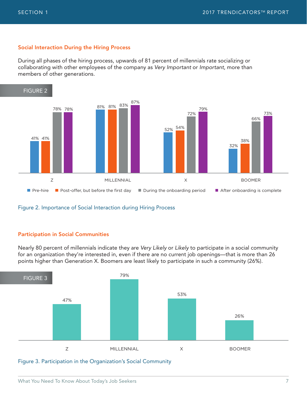### Social Interaction During the Hiring Process

During all phases of the hiring process, upwards of 81 percent of millennials rate socializing or collaborating with other employees of the company as *Very Important* or *Important*, more than members of other generations.



### Figure 2. Importance of Social Interaction during Hiring Process

### Participation in Social Communities

Nearly 80 percent of millennials indicate they are *Very Likely* or *Likely* to participate in a social community for an organization they're interested in, even if there are no current job openings—that is more than 26 points higher than Generation X. Boomers are least likely to participate in such a community (26%).



Figure 3. Participation in the Organization's Social Community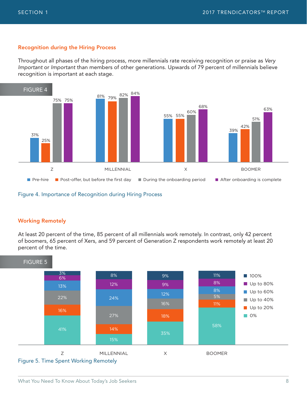### Recognition during the Hiring Process

Throughout all phases of the hiring process, more millennials rate receiving recognition or praise as *Very Important* or *Important* than members of other generations. Upwards of 79 percent of millennials believe recognition is important at each stage.





### Working Remotely

At least 20 percent of the time, 85 percent of all millennials work remotely. In contrast, only 42 percent of boomers, 65 percent of Xers, and 59 percent of Generation Z respondents work remotely at least 20 percent of the time.

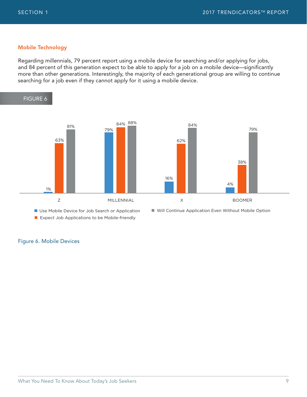### Mobile Technology

Regarding millennials, 79 percent report using a mobile device for searching and/or applying for jobs, and 84 percent of this generation expect to be able to apply for a job on a mobile device—significantly more than other generations. Interestingly, the majority of each generational group are willing to continue searching for a job even if they cannot apply for it using a mobile device.



**Expect Job Applications to be Mobile-friendly** 

Figure 6. Mobile Devices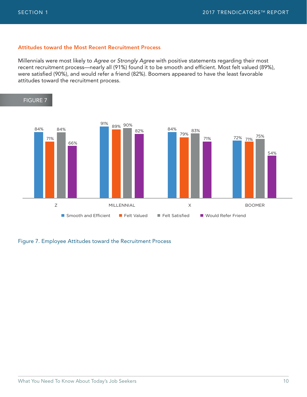### Attitudes toward the Most Recent Recruitment Process

Millennials were most likely to *Agree* or *Strongly Agree* with positive statements regarding their most recent recruitment process—nearly all (91%) found it to be smooth and efficient. Most felt valued (89%), were satisfied (90%), and would refer a friend (82%). Boomers appeared to have the least favorable attitudes toward the recruitment process.



Figure 7. Employee Attitudes toward the Recruitment Process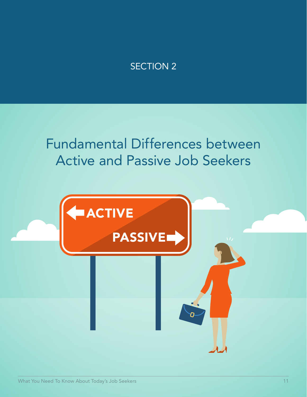### Fundamental Differences between Active and Passive Job Seekers

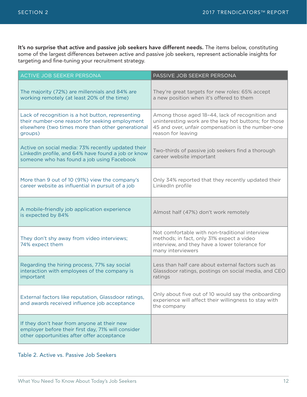It's no surprise that active and passive job seekers have different needs. The items below, constituting some of the largest differences between active and passive job seekers, represent actionable insights for targeting and fine-tuning your recruitment strategy.

| <b>ACTIVE JOB SEEKER PERSONA</b>                                                                                                                                    | PASSIVE JOB SEEKER PERSONA                                                                                                                                                           |
|---------------------------------------------------------------------------------------------------------------------------------------------------------------------|--------------------------------------------------------------------------------------------------------------------------------------------------------------------------------------|
| The majority (72%) are millennials and 84% are<br>working remotely (at least 20% of the time)                                                                       | They're great targets for new roles: 65% accept<br>a new position when it's offered to them                                                                                          |
| Lack of recognition is a hot button, representing<br>their number-one reason for seeking employment<br>elsewhere (two times more than other generational<br>groups) | Among those aged 18-44, lack of recognition and<br>uninteresting work are the key hot buttons; for those<br>45 and over, unfair compensation is the number-one<br>reason for leaving |
| Active on social media: 73% recently updated their<br>LinkedIn profile, and 64% have found a job or know<br>someone who has found a job using Facebook              | Two-thirds of passive job seekers find a thorough<br>career website important                                                                                                        |
| More than 9 out of 10 (91%) view the company's<br>career website as influential in pursuit of a job                                                                 | Only 34% reported that they recently updated their<br>LinkedIn profile                                                                                                               |
| A mobile-friendly job application experience<br>is expected by 84%                                                                                                  | Almost half (47%) don't work remotely                                                                                                                                                |
| They don't shy away from video interviews;<br>74% expect them                                                                                                       | Not comfortable with non-traditional interview<br>methods; in fact, only 31% expect a video<br>interview, and they have a lower tolerance for<br>many interviewers                   |
| Regarding the hiring process, 77% say social<br>interaction with employees of the company is<br>important                                                           | Less than half care about external factors such as<br>Glassdoor ratings, postings on social media, and CEO<br>ratings                                                                |
| External factors like reputation, Glassdoor ratings,<br>and awards received influence job acceptance                                                                | Only about five out of 10 would say the onboarding<br>experience will affect their willingness to stay with<br>the company                                                           |
| If they don't hear from anyone at their new<br>employer before their first day, 71% will consider<br>other opportunities after offer acceptance                     |                                                                                                                                                                                      |

### Table 2. Active vs. Passive Job Seekers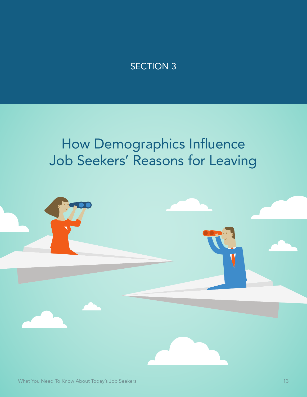# How Demographics Influence Job Seekers' Reasons for Leaving

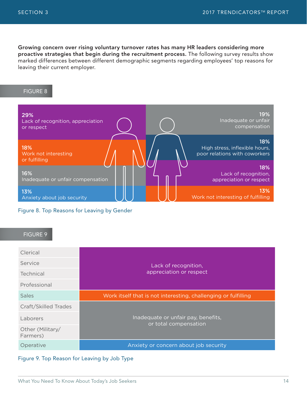Growing concern over rising voluntary turnover rates has many HR leaders considering more proactive strategies that begin during the recruitment process. The following survey results show marked differences between different demographic segments regarding employees' top reasons for leaving their current employer.  $$\sf{ECTION\ 3}$$ <br>Growing concern over rising voluntary turnover rates has many HR leaders considering more<br>proactive strategies that begin during the recruitment process. The following survey results sh<br>marked differences bet

| 29%                                      | 19%                                                    |
|------------------------------------------|--------------------------------------------------------|
| Lack of recognition, appreciation        | Inadequate or unfair                                   |
| or respect                               | compensation                                           |
| <b>18%</b>                               | 18%                                                    |
| <b>Work not interesting</b>              | High stress, inflexible hours,                         |
| or fulfilling                            | poor relations with coworkers                          |
| 16%<br>Inadequate or unfair compensation | 18%<br>Lack of recognition,<br>appreciation or respect |
| 13%                                      | 13%                                                    |
| Anxiety about job security               | Work not interesting of fulfilling                     |

Figure 8. Top Reasons for Leaving by Gender

### FIGURE 9

| Clerical                     | Lack of recognition,                                           |  |
|------------------------------|----------------------------------------------------------------|--|
| Service                      |                                                                |  |
| Technical                    | appreciation or respect                                        |  |
| Professional                 |                                                                |  |
| <b>Sales</b>                 | Work itself that is not interesting, challenging or fulfilling |  |
| Craft/Skilled Trades         |                                                                |  |
| Laborers                     | Inadequate or unfair pay, benefits,<br>or total compensation   |  |
| Other (Military/<br>Farmers) |                                                                |  |
| Operative                    | Anxiety or concern about job security                          |  |

Figure 9. Top Reason for Leaving by Job Type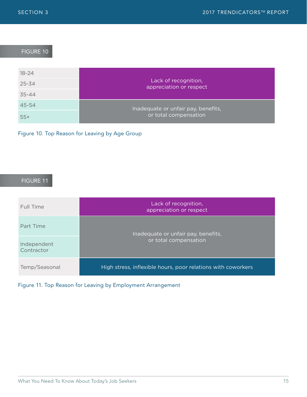| <b>SECTION 3</b> | 2017 TRENDICATORS™ REF                          |
|------------------|-------------------------------------------------|
|                  |                                                 |
| <b>FIGURE 10</b> |                                                 |
| $18 - 24$        |                                                 |
| $25 - 34$        | Lack of recognition,<br>appreciation or respect |
| $35 - 44$        |                                                 |
| 45-54            | Inadequate or unfair pay, benefits,             |
| $55+$            | or total compensation                           |

Figure 10. Top Reason for Leaving by Age Group

### FIGURE 11

| Full Time                 | Lack of recognition,<br>appreciation or respect              |
|---------------------------|--------------------------------------------------------------|
| Part Time                 | Inadequate or unfair pay, benefits,<br>or total compensation |
| Independent<br>Contractor |                                                              |
| Temp/Seasonal             | High stress, inflexible hours, poor relations with coworkers |

### Figure 11. Top Reason for Leaving by Employment Arrangement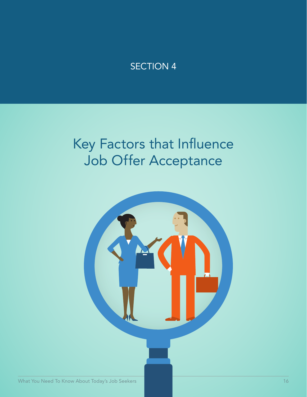### Key Factors that Influence Job Offer Acceptance

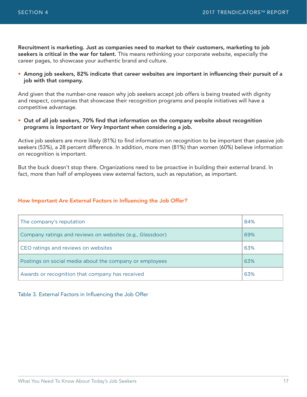Recruitment is marketing. Just as companies need to market to their customers, marketing to job seekers is critical in the war for talent. This means rethinking your corporate website, especially the career pages, to showcase your authentic brand and culture.

• Among job seekers, 82% indicate that career websites are important in influencing their pursuit of a job with that company.

And given that the number-one reason why job seekers accept job offers is being treated with dignity and respect, companies that showcase their recognition programs and people initiatives will have a competitive advantage.

• Out of all job seekers, 70% find that information on the company website about recognition programs is *Important* or *Very Important* when considering a job.

Active job seekers are more likely (81%) to find information on recognition to be important than passive job seekers (53%), a 28 percent difference. In addition, more men (81%) than women (60%) believe information on recognition is important.

But the buck doesn't stop there. Organizations need to be proactive in building their external brand. In fact, more than half of employees view external factors, such as reputation, as important.

#### How Important Are External Factors in Influencing the Job Offer?

| The company's reputation                                  | 84% |
|-----------------------------------------------------------|-----|
| Company ratings and reviews on websites (e.g., Glassdoor) | 69% |
| CEO ratings and reviews on websites                       |     |
| Postings on social media about the company or employees   | 63% |
| Awards or recognition that company has received           | 63% |

#### Table 3. External Factors in Influencing the Job Offer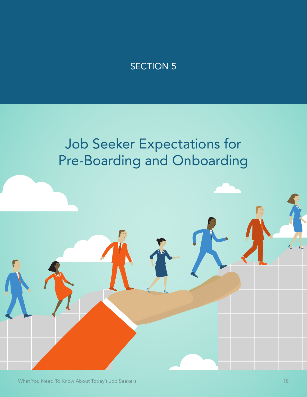# Job Seeker Expectations for Pre-Boarding and Onboarding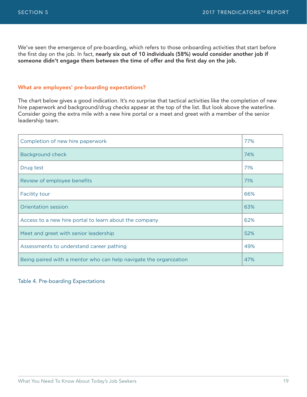We've seen the emergence of pre-boarding, which refers to those onboarding activities that start before the first day on the job. In fact, nearly six out of 10 individuals (58%) would consider another job if someone didn't engage them between the time of offer and the first day on the job.

### What are employees' pre-boarding expectations?

The chart below gives a good indication. It's no surprise that tactical activities like the completion of new hire paperwork and background/drug checks appear at the top of the list. But look above the waterline. Consider going the extra mile with a new hire portal or a meet and greet with a member of the senior leadership team.

| Completion of new hire paperwork                                  | 77% |
|-------------------------------------------------------------------|-----|
| Background check                                                  |     |
| Drug test                                                         | 71% |
| Review of employee benefits                                       | 71% |
| <b>Facility tour</b>                                              | 66% |
| Orientation session                                               | 63% |
| Access to a new hire portal to learn about the company            | 62% |
| Meet and greet with senior leadership                             | 52% |
| Assessments to understand career pathing                          | 49% |
| Being paired with a mentor who can help navigate the organization |     |

### Table 4. Pre-boarding Expectations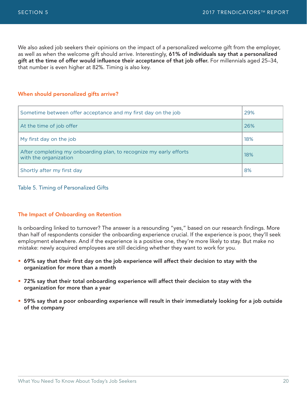SECTION 5 2017 TRENDICATORS™ REPO<br>2017 TRENDICATORS™ REPO<br>We also asked job seekers their opinions on the impact of a personalized welcome gift from the employer, as well as when the welcome gift should arrive. Interestingly, 61% of individuals say that a personalized gift at the time of offer would influence their acceptance of that job offer. For millennials aged 25–34, that number is even higher at 82%. Timing is also key.

#### When should personalized gifts arrive?

| Sometime between offer acceptance and my first day on the job                               | 29% |
|---------------------------------------------------------------------------------------------|-----|
| At the time of job offer                                                                    | 26% |
| My first day on the job                                                                     | 18% |
| After completing my onboarding plan, to recognize my early efforts<br>with the organization | 18% |
| Shortly after my first day                                                                  | 8%  |

#### Table 5. Timing of Personalized Gifts

#### The Impact of Onboarding on Retention

Is onboarding linked to turnover? The answer is a resounding "yes," based on our research findings. More than half of respondents consider the onboarding experience crucial. If the experience is poor, they'll seek employment elsewhere. And if the experience is a positive one, they're more likely to stay. But make no mistake: newly acquired employees are still deciding whether they want to work for you.

- 69% say that their first day on the job experience will affect their decision to stay with the organization for more than a month
- 72% say that their total onboarding experience will affect their decision to stay with the organization for more than a year
- 59% say that a poor onboarding experience will result in their immediately looking for a job outside of the company